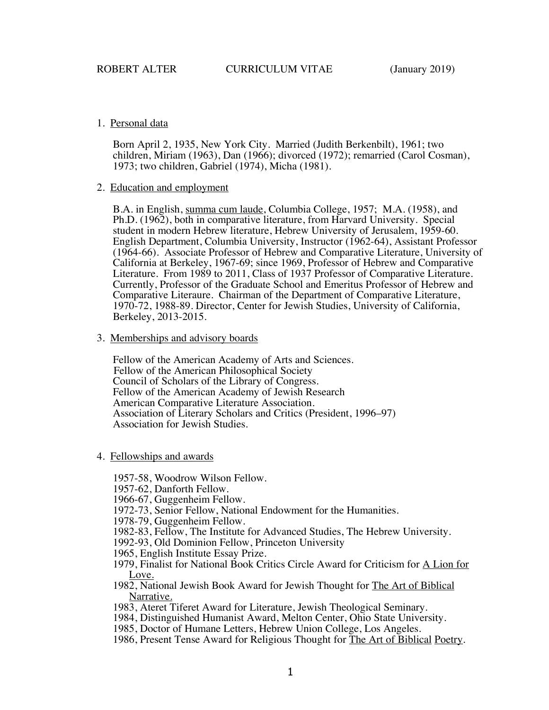# 1. Personal data

Born April 2, 1935, New York City. Married (Judith Berkenbilt), 1961; two children, Miriam (1963), Dan (1966); divorced (1972); remarried (Carol Cosman), 1973; two children, Gabriel (1974), Micha (1981).

### 2. Education and employment

B.A. in English, summa cum laude, Columbia College, 1957; M.A. (1958), and Ph.D. (1962), both in comparative literature, from Harvard University. Special student in modern Hebrew literature, Hebrew University of Jerusalem, 1959-60. English Department, Columbia University, Instructor (1962-64), Assistant Professor (1964-66). Associate Professor of Hebrew and Comparative Literature, University of California at Berkeley, 1967-69; since 1969, Professor of Hebrew and Comparative Literature. From 1989 to 2011, Class of 1937 Professor of Comparative Literature. Currently, Professor of the Graduate School and Emeritus Professor of Hebrew and Comparative Literaure. Chairman of the Department of Comparative Literature, 1970-72, 1988-89. Director, Center for Jewish Studies, University of California, Berkeley, 2013-2015.

### 3. Memberships and advisory boards

Fellow of the American Academy of Arts and Sciences. Fellow of the American Philosophical Society Council of Scholars of the Library of Congress. Fellow of the American Academy of Jewish Research American Comparative Literature Association. Association of Literary Scholars and Critics (President, 1996–97) Association for Jewish Studies.

# 4. Fellowships and awards

- 1957-58, Woodrow Wilson Fellow.
- 1957-62, Danforth Fellow.
- 1966-67, Guggenheim Fellow.
- 1972-73, Senior Fellow, National Endowment for the Humanities.
- 1978-79, Guggenheim Fellow.
- 1982-83, Fellow, The Institute for Advanced Studies, The Hebrew University.
- 1992-93, Old Dominion Fellow, Princeton University
- 1965, English Institute Essay Prize.
- 1979, Finalist for National Book Critics Circle Award for Criticism for A Lion for Love.
- 1982, National Jewish Book Award for Jewish Thought for The Art of Biblical Narrative.
- 1983, Ateret Tiferet Award for Literature, Jewish Theological Seminary.
- 1984, Distinguished Humanist Award, Melton Center, Ohio State University.
- 1985, Doctor of Humane Letters, Hebrew Union College, Los Angeles.
- 1986, Present Tense Award for Religious Thought for The Art of Biblical Poetry.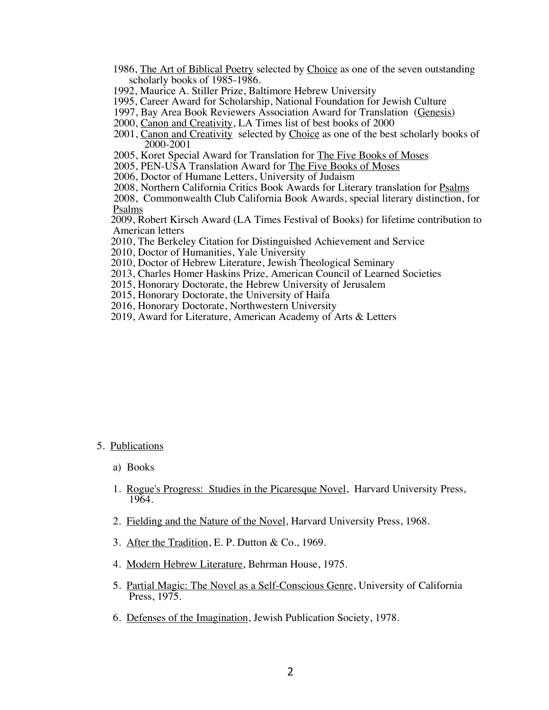- 1986, The Art of Biblical Poetry selected by Choice as one of the seven outstanding scholarly books of 1985-1986.
- 1992, Maurice A. Stiller Prize, Baltimore Hebrew University
- 1995, Career Award for Scholarship, National Foundation for Jewish Culture
- 1997, Bay Area Book Reviewers Association Award for Translation (Genesis)
- 2000, Canon and Creativity, LA Times list of best books of 2000
- 2001, Canon and Creativity selected by Choice as one of the best scholarly books of 2000-2001
- 2005, Koret Special Award for Translation for The Five Books of Moses
- 2005, PEN-USA Translation Award for The Five Books of Moses
- 2006, Doctor of Humane Letters, University of Judaism
- 2008, Northern California Critics Book Awards for Literary translation for Psalms

 2008, Commonwealth Club California Book Awards, special literary distinction, for Psalms

 2009, Robert Kirsch Award (LA Times Festival of Books) for lifetime contribution to American letters

- 2010, The Berkeley Citation for Distinguished Achievement and Service
- 2010, Doctor of Humanities, Yale University
- 2010, Doctor of Hebrew Literature, Jewish Theological Seminary
- 2013, Charles Homer Haskins Prize, American Council of Learned Societies
- 2015, Honorary Doctorate, the Hebrew University of Jerusalem
- 2015, Honorary Doctorate, the University of Haifa
- 2016, Honorary Doctorate, Northwestern University
- 2019, Award for Literature, American Academy of Arts & Letters

- 5. Publications
	- a) Books
	- 1. Rogue's Progress: Studies in the Picaresque Novel, Harvard University Press, 1964.
	- 2. Fielding and the Nature of the Novel, Harvard University Press, 1968.
	- 3. After the Tradition, E. P. Dutton & Co., 1969.
	- 4. Modern Hebrew Literature, Behrman House, 1975.
	- 5. Partial Magic: The Novel as a Self-Conscious Genre, University of California Press, 1975.
	- 6. Defenses of the Imagination, Jewish Publication Society, 1978.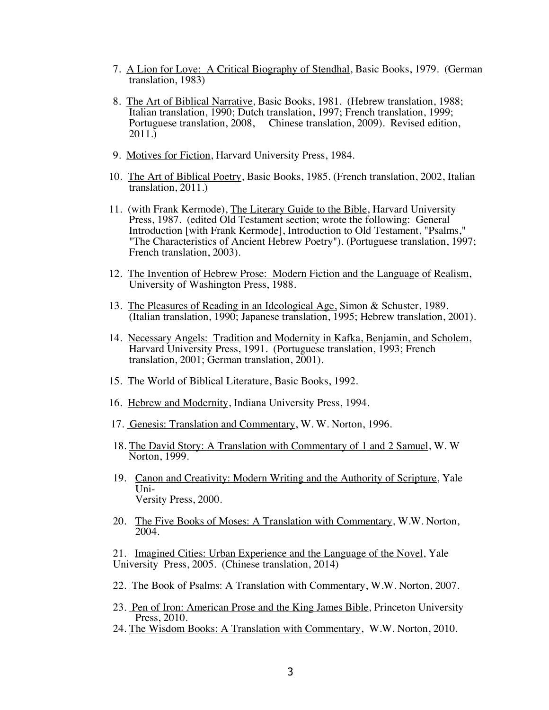- 7. A Lion for Love: A Critical Biography of Stendhal, Basic Books, 1979. (German translation, 1983)
- 8. The Art of Biblical Narrative, Basic Books, 1981. (Hebrew translation, 1988; Italian translation, 1990; Dutch translation, 1997; French translation, 1999; Portuguese translation, 2008, Chinese translation, 2009). Revised edition, 2011.)
- 9. Motives for Fiction, Harvard University Press, 1984.
- 10. The Art of Biblical Poetry, Basic Books, 1985. (French translation, 2002, Italian translation, 2011.)
- 11. (with Frank Kermode), The Literary Guide to the Bible, Harvard University Press, 1987. (edited Old Testament section; wrote the following: General Introduction [with Frank Kermode], Introduction to Old Testament, "Psalms," "The Characteristics of Ancient Hebrew Poetry"). (Portuguese translation, 1997; French translation, 2003).
- 12. The Invention of Hebrew Prose: Modern Fiction and the Language of Realism, University of Washington Press, 1988.
- 13. The Pleasures of Reading in an Ideological Age, Simon & Schuster, 1989. (Italian translation, 1990; Japanese translation, 1995; Hebrew translation, 2001).
- 14. Necessary Angels: Tradition and Modernity in Kafka, Benjamin, and Scholem, Harvard University Press, 1991. (Portuguese translation, 1993; French translation, 2001; German translation, 2001).
- 15. The World of Biblical Literature, Basic Books, 1992.
- 16. Hebrew and Modernity, Indiana University Press, 1994.
- 17. Genesis: Translation and Commentary, W. W. Norton, 1996.
- 18. The David Story: A Translation with Commentary of 1 and 2 Samuel, W. W Norton, 1999.
- 19. Canon and Creativity: Modern Writing and the Authority of Scripture, Yale Uni-Versity Press, 2000.
- 20. The Five Books of Moses: A Translation with Commentary, W.W. Norton, 2004.

21. Imagined Cities: Urban Experience and the Language of the Novel, Yale University Press, 2005. (Chinese translation, 2014)

- 22. The Book of Psalms: A Translation with Commentary, W.W. Norton, 2007.
- 23. Pen of Iron: American Prose and the King James Bible, Princeton University Press, 2010.
- 24. The Wisdom Books: A Translation with Commentary, W.W. Norton, 2010.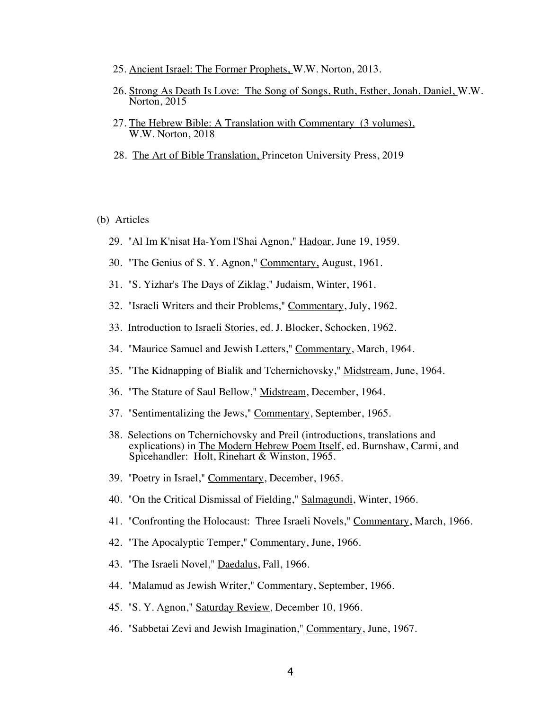- 25. Ancient Israel: The Former Prophets, W.W. Norton, 2013.
- 26. Strong As Death Is Love: The Song of Songs, Ruth, Esther, Jonah, Daniel, W.W. Norton, 2015
- 27. The Hebrew Bible: A Translation with Commentary (3 volumes), W.W. Norton, 2018
- 28. The Art of Bible Translation, Princeton University Press, 2019

# (b) Articles

- 29. "Al Im K'nisat Ha-Yom l'Shai Agnon," Hadoar, June 19, 1959.
- 30. "The Genius of S. Y. Agnon," Commentary, August, 1961.
- 31. "S. Yizhar's The Days of Ziklag," Judaism, Winter, 1961.
- 32. "Israeli Writers and their Problems," Commentary, July, 1962.
- 33. Introduction to Israeli Stories, ed. J. Blocker, Schocken, 1962.
- 34. "Maurice Samuel and Jewish Letters," Commentary, March, 1964.
- 35. "The Kidnapping of Bialik and Tchernichovsky," Midstream, June, 1964.
- 36. "The Stature of Saul Bellow," Midstream, December, 1964.
- 37. "Sentimentalizing the Jews," Commentary, September, 1965.
- 38. Selections on Tchernichovsky and Preil (introductions, translations and explications) in The Modern Hebrew Poem Itself, ed. Burnshaw, Carmi, and Spicehandler: Holt, Rinehart & Winston, 1965.
- 39. "Poetry in Israel," Commentary, December, 1965.
- 40. "On the Critical Dismissal of Fielding," Salmagundi, Winter, 1966.
- 41. "Confronting the Holocaust: Three Israeli Novels," Commentary, March, 1966.
- 42. "The Apocalyptic Temper," Commentary, June, 1966.
- 43. "The Israeli Novel," Daedalus, Fall, 1966.
- 44. "Malamud as Jewish Writer," Commentary, September, 1966.
- 45. "S. Y. Agnon," Saturday Review, December 10, 1966.
- 46. "Sabbetai Zevi and Jewish Imagination," Commentary, June, 1967.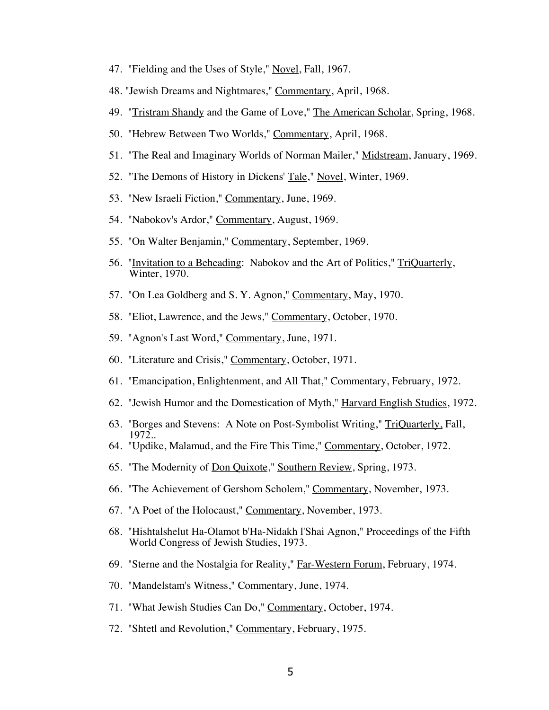- 47. "Fielding and the Uses of Style," Novel, Fall, 1967.
- 48. "Jewish Dreams and Nightmares," Commentary, April, 1968.
- 49. "Tristram Shandy and the Game of Love," The American Scholar, Spring, 1968.
- 50. "Hebrew Between Two Worlds," Commentary, April, 1968.
- 51. "The Real and Imaginary Worlds of Norman Mailer," Midstream, January, 1969.
- 52. "The Demons of History in Dickens' Tale," Novel, Winter, 1969.
- 53. "New Israeli Fiction," Commentary, June, 1969.
- 54. "Nabokov's Ardor," Commentary, August, 1969.
- 55. "On Walter Benjamin," Commentary, September, 1969.
- 56. "Invitation to a Beheading: Nabokov and the Art of Politics," TriQuarterly, Winter, 1970.
- 57. "On Lea Goldberg and S. Y. Agnon," Commentary, May, 1970.
- 58. "Eliot, Lawrence, and the Jews," Commentary, October, 1970.
- 59. "Agnon's Last Word," Commentary, June, 1971.
- 60. "Literature and Crisis," Commentary, October, 1971.
- 61. "Emancipation, Enlightenment, and All That," Commentary, February, 1972.
- 62. "Jewish Humor and the Domestication of Myth," Harvard English Studies, 1972.
- 63. "Borges and Stevens: A Note on Post-Symbolist Writing," TriQuarterly, Fall, 1972..
- 64. "Updike, Malamud, and the Fire This Time," Commentary, October, 1972.
- 65. "The Modernity of Don Quixote," Southern Review, Spring, 1973.
- 66. "The Achievement of Gershom Scholem," Commentary, November, 1973.
- 67. "A Poet of the Holocaust," Commentary, November, 1973.
- 68. "Hishtalshelut Ha-Olamot b'Ha-Nidakh l'Shai Agnon," Proceedings of the Fifth World Congress of Jewish Studies, 1973.
- 69. "Sterne and the Nostalgia for Reality," Far-Western Forum, February, 1974.
- 70. "Mandelstam's Witness," Commentary, June, 1974.
- 71. "What Jewish Studies Can Do," Commentary, October, 1974.
- 72. "Shtetl and Revolution," Commentary, February, 1975.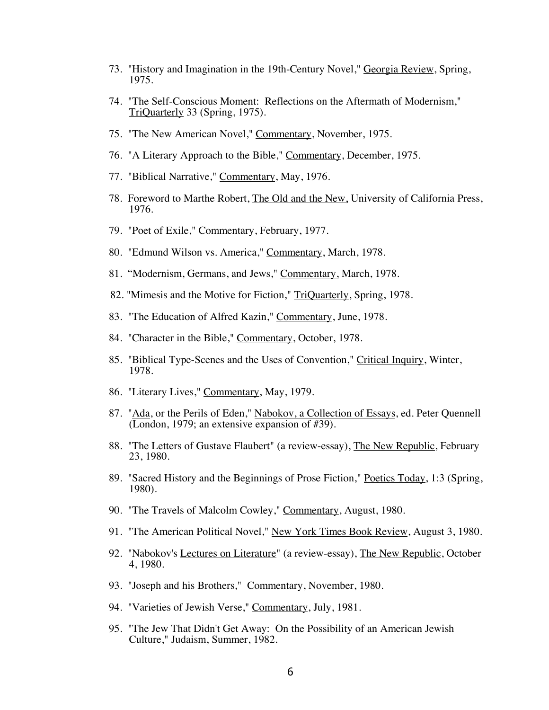- 73. "History and Imagination in the 19th-Century Novel," Georgia Review, Spring, 1975.
- 74. "The Self-Conscious Moment: Reflections on the Aftermath of Modernism," TriQuarterly 33 (Spring, 1975).
- 75. "The New American Novel," Commentary, November, 1975.
- 76. "A Literary Approach to the Bible," Commentary, December, 1975.
- 77. "Biblical Narrative," Commentary, May, 1976.
- 78. Foreword to Marthe Robert, The Old and the New, University of California Press, 1976.
- 79. "Poet of Exile," Commentary, February, 1977.
- 80. "Edmund Wilson vs. America," Commentary, March, 1978.
- 81. "Modernism, Germans, and Jews," Commentary, March, 1978.
- 82. "Mimesis and the Motive for Fiction," TriQuarterly, Spring, 1978.
- 83. "The Education of Alfred Kazin," Commentary, June, 1978.
- 84. "Character in the Bible," Commentary, October, 1978.
- 85. "Biblical Type-Scenes and the Uses of Convention," Critical Inquiry, Winter, 1978.
- 86. "Literary Lives," Commentary, May, 1979.
- 87. "Ada, or the Perils of Eden," Nabokov, a Collection of Essays, ed. Peter Quennell (London, 1979; an extensive expansion of #39).
- 88. "The Letters of Gustave Flaubert" (a review-essay), The New Republic, February 23, 1980.
- 89. "Sacred History and the Beginnings of Prose Fiction," Poetics Today, 1:3 (Spring, 1980).
- 90. "The Travels of Malcolm Cowley," Commentary, August, 1980.
- 91. "The American Political Novel," New York Times Book Review, August 3, 1980.
- 92. "Nabokov's Lectures on Literature" (a review-essay), The New Republic, October 4, 1980.
- 93. "Joseph and his Brothers," Commentary, November, 1980.
- 94. "Varieties of Jewish Verse," Commentary, July, 1981.
- 95. "The Jew That Didn't Get Away: On the Possibility of an American Jewish Culture," Judaism, Summer, 1982.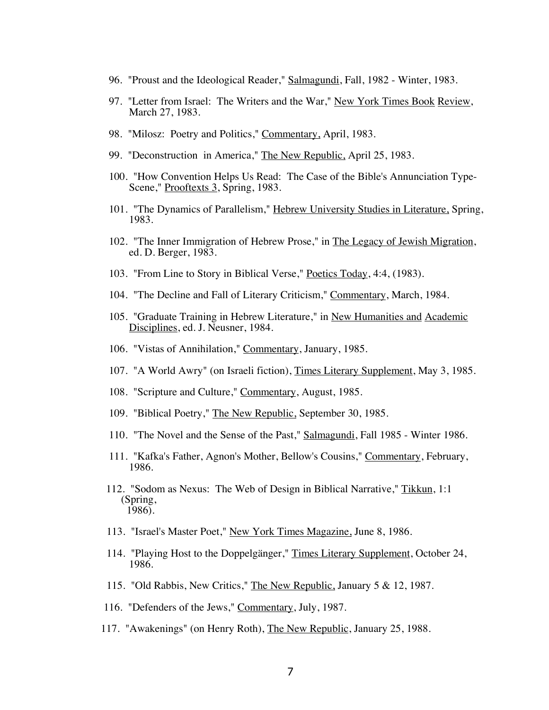- 96. "Proust and the Ideological Reader," Salmagundi, Fall, 1982 Winter, 1983.
- 97. "Letter from Israel: The Writers and the War," New York Times Book Review, March 27, 1983.
- 98. "Milosz: Poetry and Politics," Commentary, April, 1983.
- 99. "Deconstruction in America," The New Republic, April 25, 1983.
- 100. "How Convention Helps Us Read: The Case of the Bible's Annunciation Type-Scene," Prooftexts 3, Spring, 1983.
- 101. "The Dynamics of Parallelism," Hebrew University Studies in Literature, Spring, 1983.
- 102. "The Inner Immigration of Hebrew Prose," in The Legacy of Jewish Migration, ed. D. Berger, 1983.
- 103. "From Line to Story in Biblical Verse," Poetics Today, 4:4, (1983).
- 104. "The Decline and Fall of Literary Criticism," Commentary, March, 1984.
- 105. "Graduate Training in Hebrew Literature," in New Humanities and Academic Disciplines, ed. J. Neusner, 1984.
- 106. "Vistas of Annihilation," Commentary, January, 1985.
- 107. "A World Awry" (on Israeli fiction), Times Literary Supplement, May 3, 1985.
- 108. "Scripture and Culture," Commentary, August, 1985.
- 109. "Biblical Poetry," The New Republic, September 30, 1985.
- 110. "The Novel and the Sense of the Past," Salmagundi, Fall 1985 Winter 1986.
- 111. "Kafka's Father, Agnon's Mother, Bellow's Cousins," Commentary, February, 1986.
- 112. "Sodom as Nexus: The Web of Design in Biblical Narrative," Tikkun, 1:1 (Spring, 1986).
- 113. "Israel's Master Poet," New York Times Magazine, June 8, 1986.
- 114. "Playing Host to the Doppelgänger," Times Literary Supplement, October 24, 1986.
- 115. "Old Rabbis, New Critics," The New Republic, January 5 & 12, 1987.
- 116. "Defenders of the Jews," Commentary, July, 1987.
- 117. "Awakenings" (on Henry Roth), The New Republic, January 25, 1988.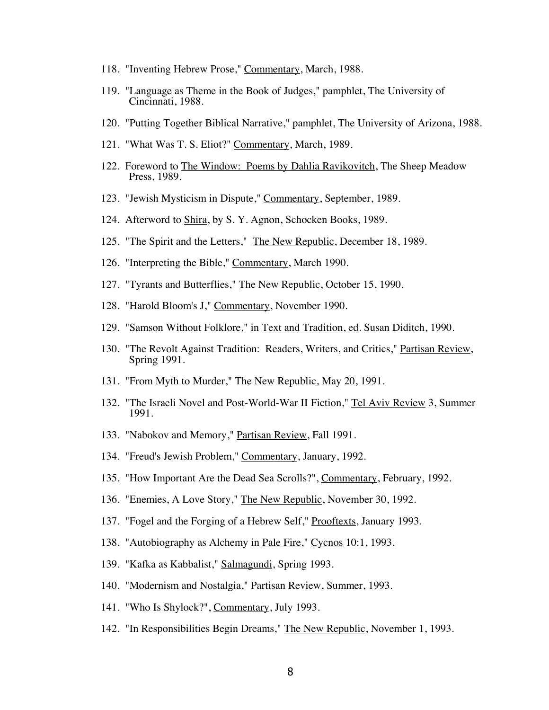- 118. "Inventing Hebrew Prose," Commentary, March, 1988.
- 119. "Language as Theme in the Book of Judges," pamphlet, The University of Cincinnati, 1988.
- 120. "Putting Together Biblical Narrative," pamphlet, The University of Arizona, 1988.
- 121. "What Was T. S. Eliot?" Commentary, March, 1989.
- 122. Foreword to The Window: Poems by Dahlia Ravikovitch, The Sheep Meadow Press, 1989.
- 123. "Jewish Mysticism in Dispute," Commentary, September, 1989.
- 124. Afterword to Shira, by S. Y. Agnon, Schocken Books, 1989.
- 125. "The Spirit and the Letters," The New Republic, December 18, 1989.
- 126. "Interpreting the Bible," Commentary, March 1990.
- 127. "Tyrants and Butterflies," The New Republic, October 15, 1990.
- 128. "Harold Bloom's J," Commentary, November 1990.
- 129. "Samson Without Folklore," in Text and Tradition, ed. Susan Diditch, 1990.
- 130. "The Revolt Against Tradition: Readers, Writers, and Critics," Partisan Review, Spring 1991.
- 131. "From Myth to Murder," The New Republic, May 20, 1991.
- 132. "The Israeli Novel and Post-World-War II Fiction," Tel Aviv Review 3, Summer 1991.
- 133. "Nabokov and Memory," Partisan Review, Fall 1991.
- 134. "Freud's Jewish Problem," Commentary, January, 1992.
- 135. "How Important Are the Dead Sea Scrolls?", Commentary, February, 1992.
- 136. "Enemies, A Love Story," The New Republic, November 30, 1992.
- 137. "Fogel and the Forging of a Hebrew Self," Prooftexts, January 1993.
- 138. "Autobiography as Alchemy in Pale Fire," Cycnos 10:1, 1993.
- 139. "Kafka as Kabbalist," Salmagundi, Spring 1993.
- 140. "Modernism and Nostalgia," Partisan Review, Summer, 1993.
- 141. "Who Is Shylock?", Commentary, July 1993.
- 142. "In Responsibilities Begin Dreams," The New Republic, November 1, 1993.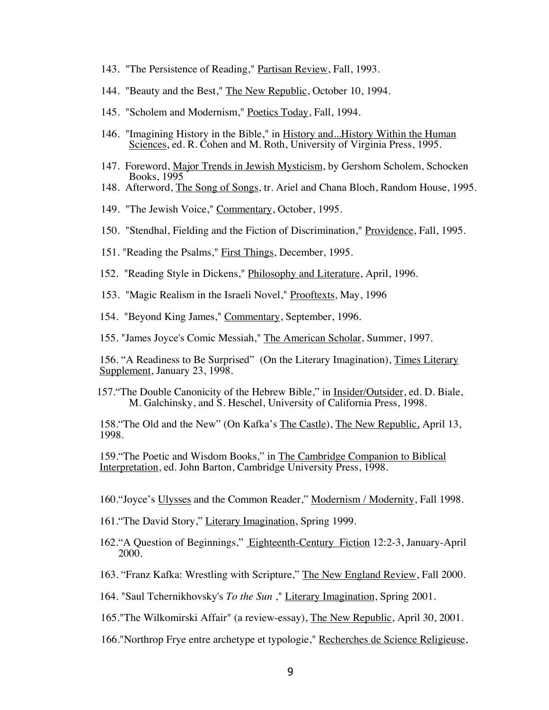- 143. "The Persistence of Reading," Partisan Review, Fall, 1993.
- 144. "Beauty and the Best," The New Republic, October 10, 1994.
- 145. "Scholem and Modernism," Poetics Today, Fall, 1994.
- 146. "Imagining History in the Bible," in History and...History Within the Human Sciences, ed. R. Cohen and M. Roth, University of Virginia Press, 1995.
- 147. Foreword, Major Trends in Jewish Mysticism, by Gershom Scholem, Schocken Books, 1995
- 148. Afterword, The Song of Songs, tr. Ariel and Chana Bloch, Random House, 1995.
- 149. "The Jewish Voice," Commentary, October, 1995.
- 150. "Stendhal, Fielding and the Fiction of Discrimination," Providence, Fall, 1995.
- 151. "Reading the Psalms," First Things, December, 1995.
- 152. "Reading Style in Dickens," Philosophy and Literature, April, 1996.
- 153. "Magic Realism in the Israeli Novel," Prooftexts, May, 1996
- 154. "Beyond King James," Commentary, September, 1996.
- 155. "James Joyce's Comic Messiah," The American Scholar, Summer, 1997.

156. "A Readiness to Be Surprised" (On the Literary Imagination), Times Literary Supplement, January 23, 1998.

157."The Double Canonicity of the Hebrew Bible," in Insider/Outsider, ed. D. Biale, M. Galchinsky, and S. Heschel, University of California Press, 1998.

158."The Old and the New" (On Kafka's The Castle), The New Republic, April 13, 1998.

159."The Poetic and Wisdom Books," in The Cambridge Companion to Biblical Interpretation, ed. John Barton, Cambridge University Press, 1998.

- 160."Joyce's Ulysses and the Common Reader," Modernism / Modernity, Fall 1998.
- 161. The David Story," Literary Imagination, Spring 1999.
- 162."A Question of Beginnings," Eighteenth-Century Fiction 12:2-3, January-April 2000.
- 163. "Franz Kafka: Wrestling with Scripture," The New England Review, Fall 2000.
- 164. "Saul Tchernikhovsky's *To the Sun* ," Literary Imagination, Spring 2001.
- 165."The Wilkomirski Affair" (a review-essay), The New Republic, April 30, 2001.
- 166."Northrop Frye entre archetype et typologie," Recherches de Science Religieuse,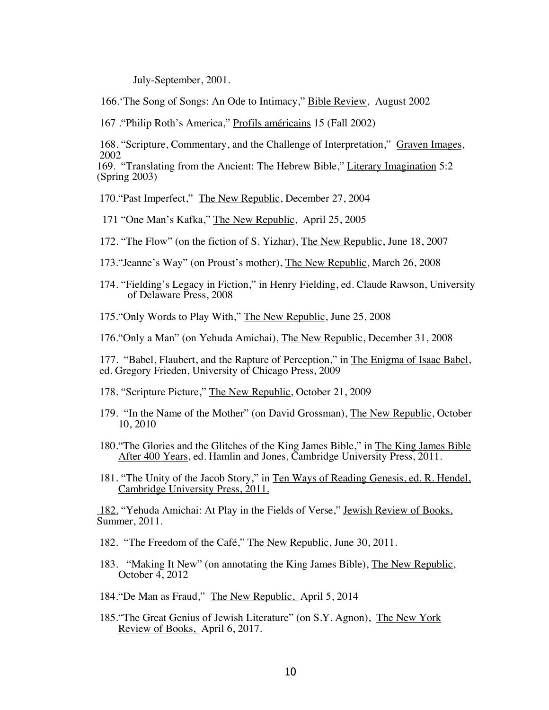July-September, 2001.

166.'The Song of Songs: An Ode to Intimacy," Bible Review, August 2002

167 ."Philip Roth's America," Profils américains 15 (Fall 2002)

168. "Scripture, Commentary, and the Challenge of Interpretation," Graven Images, 2002

169. "Translating from the Ancient: The Hebrew Bible," Literary Imagination 5:2 (Spring 2003)

170."Past Imperfect," The New Republic, December 27, 2004

171 "One Man's Kafka," The New Republic, April 25, 2005

172. "The Flow" (on the fiction of S. Yizhar), The New Republic, June 18, 2007

- 173."Jeanne's Way" (on Proust's mother), The New Republic, March 26, 2008
- 174. "Fielding's Legacy in Fiction," in Henry Fielding, ed. Claude Rawson, University of Delaware Press, 2008
- 175."Only Words to Play With," The New Republic, June 25, 2008

176."Only a Man" (on Yehuda Amichai), The New Republic, December 31, 2008

177. "Babel, Flaubert, and the Rapture of Perception," in The Enigma of Isaac Babel, ed. Gregory Frieden, University of Chicago Press, 2009

- 178. "Scripture Picture," The New Republic, October 21, 2009
- 179. "In the Name of the Mother" (on David Grossman), The New Republic, October 10, 2010
- 180."The Glories and the Glitches of the King James Bible," in The King James Bible After 400 Years, ed. Hamlin and Jones, Cambridge University Press, 2011.
- 181. "The Unity of the Jacob Story," in Ten Ways of Reading Genesis, ed. R. Hendel, Cambridge University Press, 2011.

182. "Yehuda Amichai: At Play in the Fields of Verse," Jewish Review of Books, Summer, 2011.

182. "The Freedom of the Café," The New Republic, June 30, 2011.

- 183. "Making It New" (on annotating the King James Bible), The New Republic, October 4, 2012
- 184."De Man as Fraud," The New Republic, April 5, 2014
- 185. The Great Genius of Jewish Literature" (on S.Y. Agnon), The New York Review of Books, April 6, 2017.